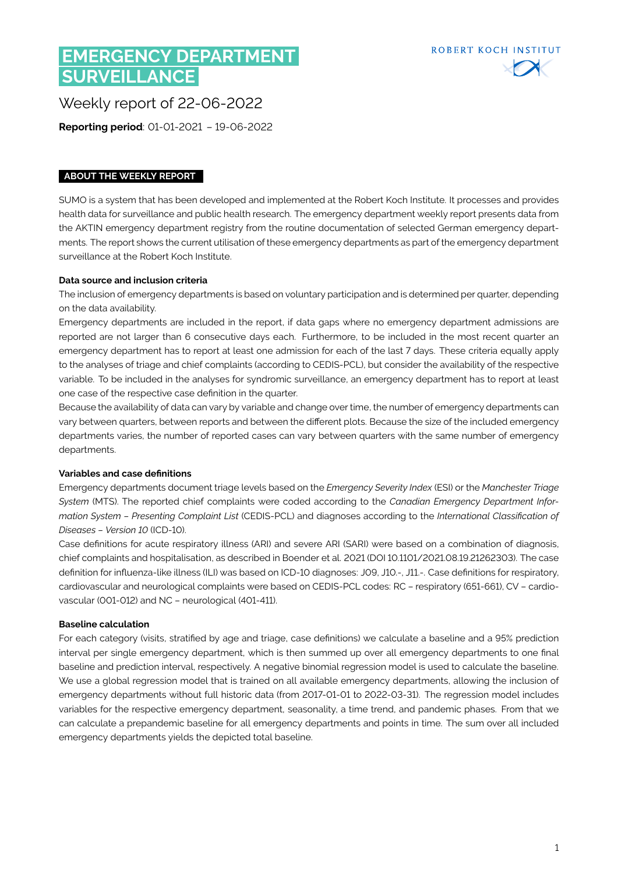# **EMERGENCY DEPARTMENT SURVEILLANCE**



Weekly report of 22-06-2022

**Reporting period**: 01-01-2021 – 19-06-2022

### **ABOUT THE WEEKLY REPORT**

SUMO is a system that has been developed and implemented at the Robert Koch Institute. It processes and provides health data for surveillance and public health research. The emergency department weekly report presents data from the AKTIN emergency department registry from the routine documentation of selected German emergency departments. The report shows the current utilisation of these emergency departments as part of the emergency department surveillance at the Robert Koch Institute.

#### **Data source and inclusion criteria**

The inclusion of emergency departments is based on voluntary participation and is determined per quarter, depending on the data availability.

Emergency departments are included in the report, if data gaps where no emergency department admissions are reported are not larger than 6 consecutive days each. Furthermore, to be included in the most recent quarter an emergency department has to report at least one admission for each of the last 7 days. These criteria equally apply to the analyses of triage and chief complaints (according to CEDIS-PCL), but consider the availability of the respective variable. To be included in the analyses for syndromic surveillance, an emergency department has to report at least one case of the respective case definition in the quarter.

Because the availability of data can vary by variable and change over time, the number of emergency departments can vary between quarters, between reports and between the different plots. Because the size of the included emergency departments varies, the number of reported cases can vary between quarters with the same number of emergency departments.

#### **Variables and case definitions**

Emergency departments document triage levels based on the *Emergency Severity Index* (ESI) or the *Manchester Triage System* (MTS). The reported chief complaints were coded according to the *Canadian Emergency Department Information System – Presenting Complaint List* (CEDIS-PCL) and diagnoses according to the *International Classification of Diseases – Version 10* (ICD-10).

Case definitions for acute respiratory illness (ARI) and severe ARI (SARI) were based on a combination of diagnosis, chief complaints and hospitalisation, as described in Boender et al. 2021 (DOI [10.1101/2021.08.19.21262303\)](https://www.medrxiv.org/content/10.1101/2021.08.19.21262303v1). The case definition for influenza-like illness (ILI) was based on ICD-10 diagnoses: J09, J10.-, J11.-. Case definitions for respiratory, cardiovascular and neurological complaints were based on CEDIS-PCL codes: RC – respiratory (651-661), CV – cardiovascular (001-012) and NC – neurological (401-411).

#### **Baseline calculation**

For each category (visits, stratified by age and triage, case definitions) we calculate a baseline and a 95% prediction interval per single emergency department, which is then summed up over all emergency departments to one final baseline and prediction interval, respectively. A negative binomial regression model is used to calculate the baseline. We use a global regression model that is trained on all available emergency departments, allowing the inclusion of emergency departments without full historic data (from 2017-01-01 to 2022-03-31). The regression model includes variables for the respective emergency department, seasonality, a time trend, and pandemic phases. From that we can calculate a prepandemic baseline for all emergency departments and points in time. The sum over all included emergency departments yields the depicted total baseline.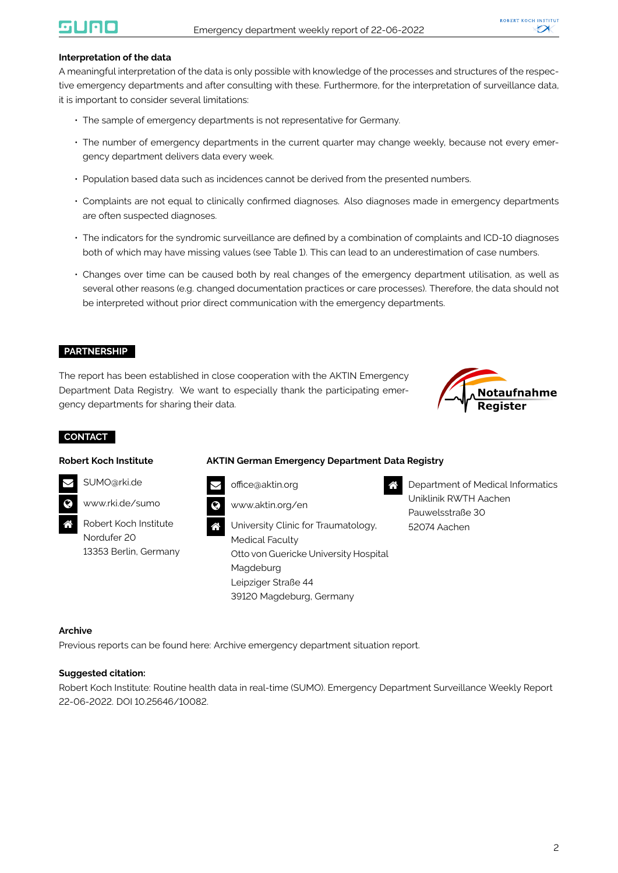#### **Interpretation of the data**

A meaningful interpretation of the data is only possible with knowledge of the processes and structures of the respective emergency departments and after consulting with these. Furthermore, for the interpretation of surveillance data, it is important to consider several limitations:

- The sample of emergency departments is not representative for Germany.
- The number of emergency departments in the current quarter may change weekly, because not every emergency department delivers data every week.
- Population based data such as incidences cannot be derived from the presented numbers.
- Complaints are not equal to clinically confirmed diagnoses. Also diagnoses made in emergency departments are often suspected diagnoses.
- The indicators for the syndromic surveillance are defined by a combination of complaints and ICD-10 diagnoses both of which may have missing values (see Table [1\)](#page-2-0). This can lead to an underestimation of case numbers.
- Changes over time can be caused both by real changes of the emergency department utilisation, as well as several other reasons (e.g. changed documentation practices or care processes). Therefore, the data should not be interpreted without prior direct communication with the emergency departments.

#### **PARTNERSHIP**

The report has been established in close cooperation with the AKTIN Emergency Department Data Registry. We want to especially thank the participating emergency departments for sharing their data.



#### **CONTACT**

#### **Robert Koch Institute**

#### **AKTIN German Emergency Department Data Registry**



[SUMO@rki.de](mailto:SUMO@rki.de)

[www.rki.de/sumo](https://www.rki.de/EN/Content/Institute/DepartmentsUnits/InfDiseaseEpidem/Div32/sumo/sumo.html)

 Robert Koch Institute Nordufer 20 13353 Berlin, Germany [office@aktin.org](mailto:Office@aktin.org)



 University Clinic for Traumatology, Medical Faculty Otto von Guericke University Hospital Magdeburg Leipziger Straße 44 39120 Magdeburg, Germany

 Department of Medical Informatics Uniklinik RWTH Aachen Pauwelsstraße 30 52074 Aachen

#### **Archive**

Previous reports can be found here: [Archive emergency department situation report.](https://www.rki.de/EN/Content/Institute/DepartmentsUnits/InfDiseaseEpidem/Div32/sumo/Archive_Tab.html;jsessionid=7D3C199FD557719CCF1ACDF351B2FB5A.internet062)

#### **Suggested citation:**

Robert Koch Institute: Routine health data in real-time (SUMO). Emergency Department Surveillance Weekly Report 22-06-2022. DOI 10.25646/10082.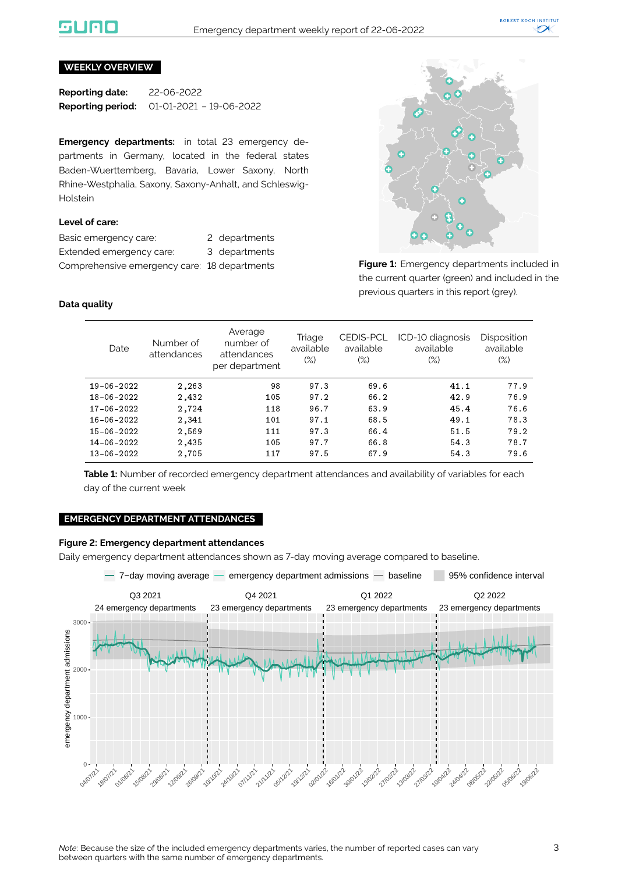### liale

#### **WEEKLY OVERVIEW**

**Reporting date:** 22-06-2022 **Reporting period:** 01-01-2021 – 19-06-2022

**Emergency departments:** in total 23 emergency departments in Germany, located in the federal states Baden-Wuerttemberg, Bavaria, Lower Saxony, North Rhine-Westphalia, Saxony, Saxony-Anhalt, and Schleswig-Holstein

#### **Level of care:**

| Basic emergency care:                        | 2 departments |
|----------------------------------------------|---------------|
| Extended emergency care:                     | 3 departments |
| Comprehensive emergency care: 18 departments |               |



**Figure 1:** Emergency departments included in the current quarter (green) and included in the previous quarters in this report (grey).

#### <span id="page-2-0"></span>**Data quality**

| Date       | Number of<br>attendances | Average<br>number of<br>attendances<br>per department | Triage<br>available<br>$(\%)$ | <b>CEDIS-PCL</b><br>available<br>$(\%)$ | ICD-10 diagnosis<br>available<br>(%) | Disposition<br>available<br>$(\%)$ |
|------------|--------------------------|-------------------------------------------------------|-------------------------------|-----------------------------------------|--------------------------------------|------------------------------------|
| 19-06-2022 | 2,263                    | 98                                                    | 97.3                          | 69.6                                    | 41.1                                 | 77.9                               |
| 18-06-2022 | 2,432                    | 105                                                   | 97.2                          | 66.2                                    | 42.9                                 | 76.9                               |
| 17-06-2022 | 2,724                    | 118                                                   | 96.7                          | 63.9                                    | 45.4                                 | 76.6                               |
| 16-06-2022 | 2,341                    | 101                                                   | 97.1                          | 68.5                                    | 49.1                                 | 78.3                               |
| 15-06-2022 | 2,569                    | 111                                                   | 97.3                          | 66.4                                    | 51.5                                 | 79.2                               |
| 14-06-2022 | 2,435                    | 105                                                   | 97.7                          | 66.8                                    | 54.3                                 | 78.7                               |
| 13-06-2022 | 2,705                    | 117                                                   | 97.5                          | 67.9                                    | 54.3                                 | 79.6                               |

**Table 1:** Number of recorded emergency department attendances and availability of variables for each day of the current week

#### **EMERGENCY DEPARTMENT ATTENDANCES**

#### **Figure 2: Emergency department attendances**

Daily emergency department attendances shown as 7-day moving average compared to baseline.

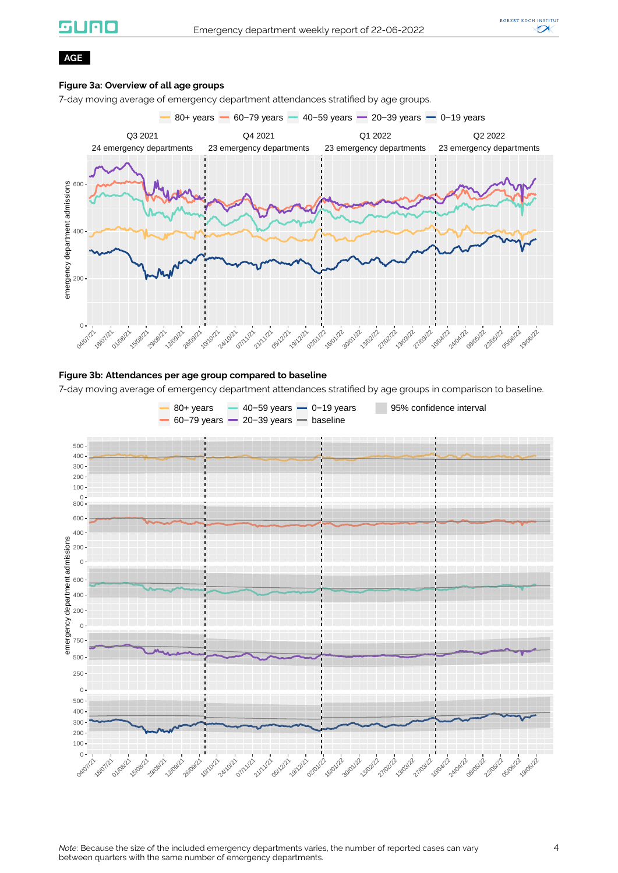## **silieio**



#### **AGE**

#### **Figure 3a: Overview of all age groups**

7-day moving average of emergency department attendances stratified by age groups.



#### **Figure 3b: Attendances per age group compared to baseline**

7-day moving average of emergency department attendances stratified by age groups in comparison to baseline.

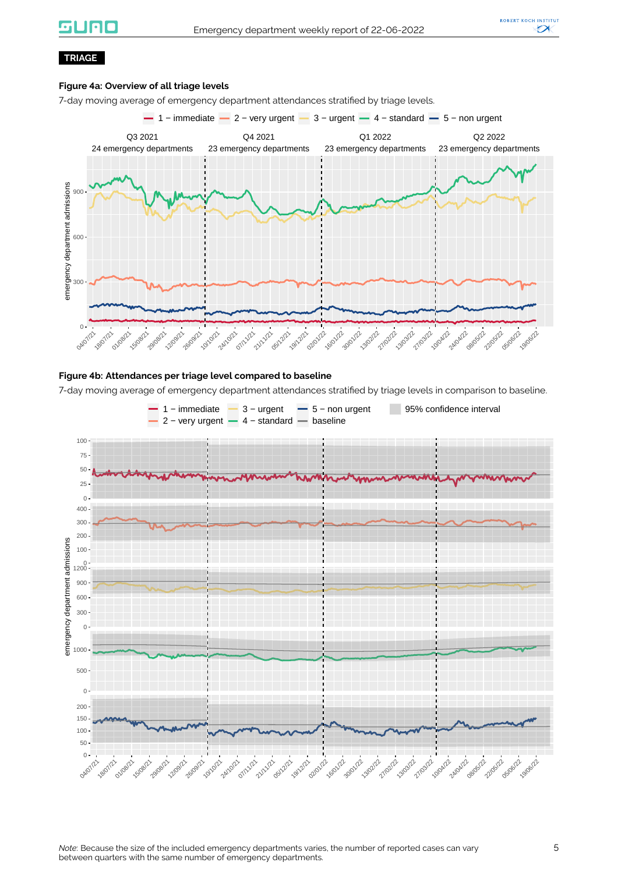### **GUNC**



#### **TRIAGE**

#### **Figure 4a: Overview of all triage levels**

7-day moving average of emergency department attendances stratified by triage levels.



#### **Figure 4b: Attendances per triage level compared to baseline**

7-day moving average of emergency department attendances stratified by triage levels in comparison to baseline.

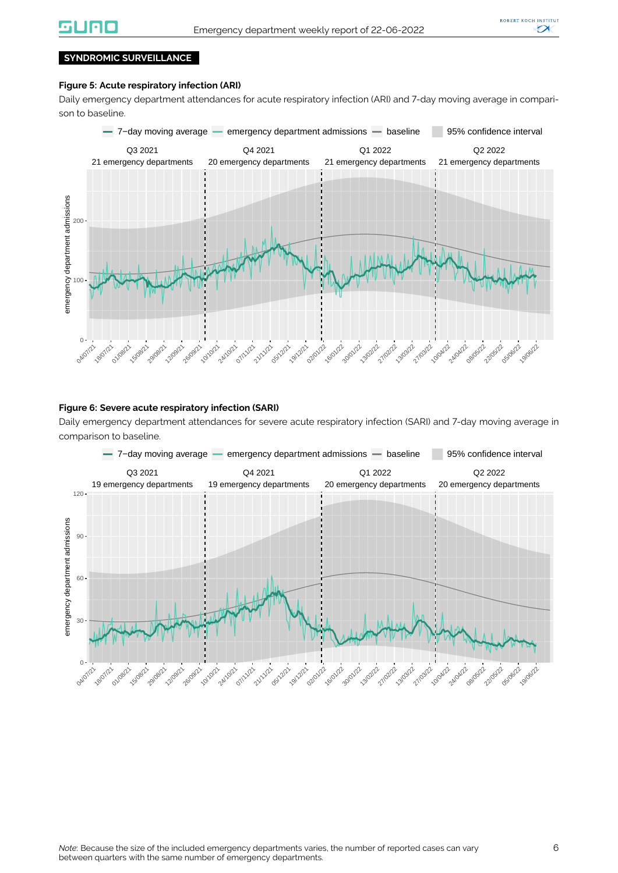

#### **SYNDROMIC SURVEILLANCE**

#### **Figure 5: Acute respiratory infection (ARI)**

Daily emergency department attendances for acute respiratory infection (ARI) and 7-day moving average in comparison to baseline.



#### **Figure 6: Severe acute respiratory infection (SARI)**

Daily emergency department attendances for severe acute respiratory infection (SARI) and 7-day moving average in comparison to baseline.

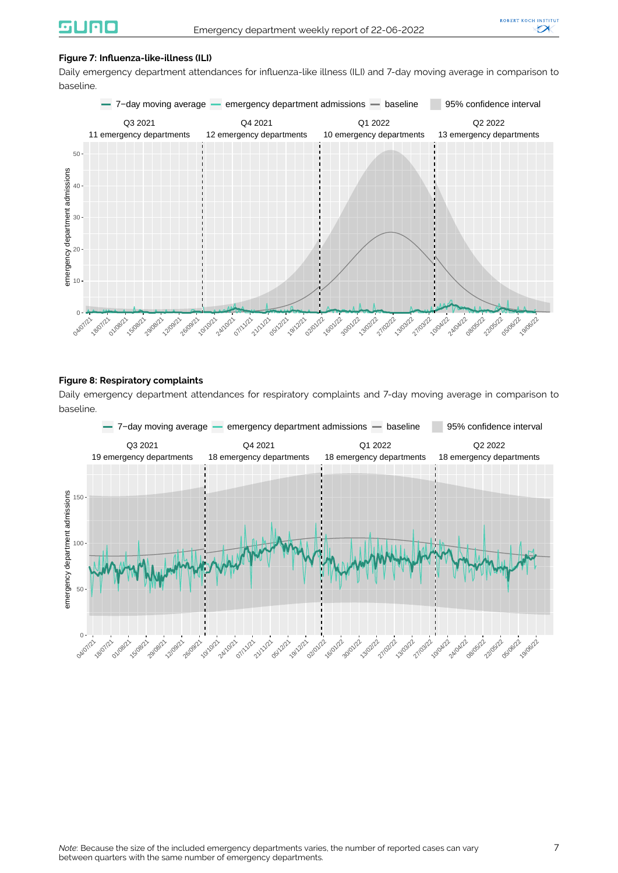#### **Figure 7: Influenza-like-illness (ILI)**

Daily emergency department attendances for influenza-like illness (ILI) and 7-day moving average in comparison to baseline.



#### **Figure 8: Respiratory complaints**

Daily emergency department attendances for respiratory complaints and 7-day moving average in comparison to baseline.